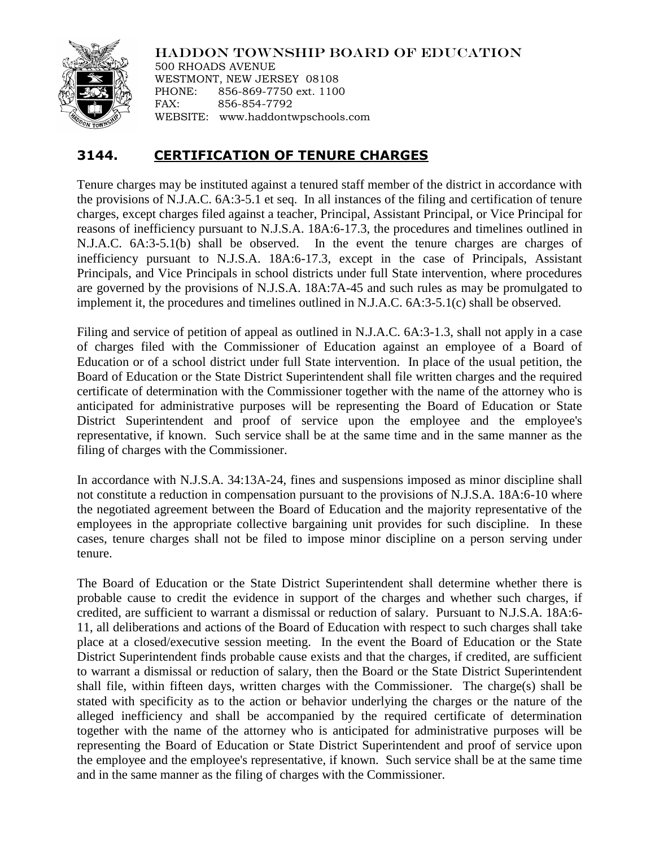

HADDON TOWNSHIP BOARD OF EDUCATION

500 RHOADS AVENUE WESTMONT, NEW JERSEY 08108 PHONE: 856-869-7750 ext. 1100 FAX: 856-854-7792 WEBSITE: www.haddontwpschools.com

## **3144. CERTIFICATION OF TENURE CHARGES**

Tenure charges may be instituted against a tenured staff member of the district in accordance with the provisions of N.J.A.C. 6A:3-5.1 et seq. In all instances of the filing and certification of tenure charges, except charges filed against a teacher, Principal, Assistant Principal, or Vice Principal for reasons of inefficiency pursuant to N.J.S.A. 18A:6-17.3, the procedures and timelines outlined in N.J.A.C. 6A:3-5.1(b) shall be observed. In the event the tenure charges are charges of inefficiency pursuant to N.J.S.A. 18A:6-17.3, except in the case of Principals, Assistant Principals, and Vice Principals in school districts under full State intervention, where procedures are governed by the provisions of N.J.S.A. 18A:7A-45 and such rules as may be promulgated to implement it, the procedures and timelines outlined in N.J.A.C. 6A:3-5.1(c) shall be observed.

Filing and service of petition of appeal as outlined in N.J.A.C. 6A:3-1.3, shall not apply in a case of charges filed with the Commissioner of Education against an employee of a Board of Education or of a school district under full State intervention. In place of the usual petition, the Board of Education or the State District Superintendent shall file written charges and the required certificate of determination with the Commissioner together with the name of the attorney who is anticipated for administrative purposes will be representing the Board of Education or State District Superintendent and proof of service upon the employee and the employee's representative, if known. Such service shall be at the same time and in the same manner as the filing of charges with the Commissioner.

In accordance with N.J.S.A. 34:13A-24, fines and suspensions imposed as minor discipline shall not constitute a reduction in compensation pursuant to the provisions of N.J.S.A. 18A:6-10 where the negotiated agreement between the Board of Education and the majority representative of the employees in the appropriate collective bargaining unit provides for such discipline. In these cases, tenure charges shall not be filed to impose minor discipline on a person serving under tenure.

The Board of Education or the State District Superintendent shall determine whether there is probable cause to credit the evidence in support of the charges and whether such charges, if credited, are sufficient to warrant a dismissal or reduction of salary. Pursuant to N.J.S.A. 18A:6- 11, all deliberations and actions of the Board of Education with respect to such charges shall take place at a closed/executive session meeting. In the event the Board of Education or the State District Superintendent finds probable cause exists and that the charges, if credited, are sufficient to warrant a dismissal or reduction of salary, then the Board or the State District Superintendent shall file, within fifteen days, written charges with the Commissioner. The charge(s) shall be stated with specificity as to the action or behavior underlying the charges or the nature of the alleged inefficiency and shall be accompanied by the required certificate of determination together with the name of the attorney who is anticipated for administrative purposes will be representing the Board of Education or State District Superintendent and proof of service upon the employee and the employee's representative, if known. Such service shall be at the same time and in the same manner as the filing of charges with the Commissioner.